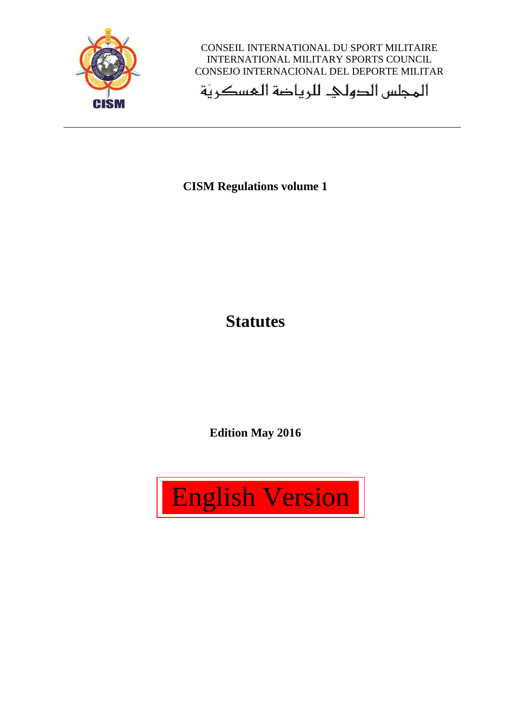

CONSEIL INTERNATIONAL DU SPORT MILITAIRE INTERNATIONAL MILITARY SPORTS COUNCIL CONSEJO INTERNACIONAL DEL DEPORTE MILITAR

المجلس الدولي للرياضة المسكرية

**CISM Regulations volume 1**

**Statutes**

**Edition May 2016**

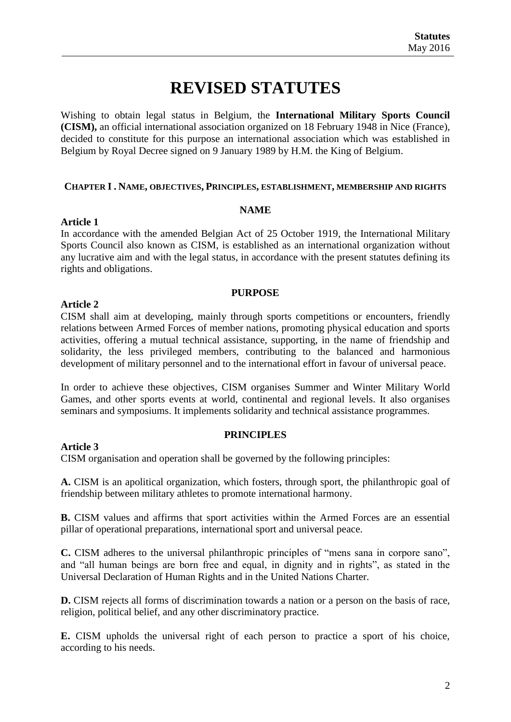# **REVISED STATUTES**

Wishing to obtain legal status in Belgium, the **International Military Sports Council (CISM),** an official international association organized on 18 February 1948 in Nice (France), decided to constitute for this purpose an international association which was established in Belgium by Royal Decree signed on 9 January 1989 by H.M. the King of Belgium.

## **CHAPTER I . NAME, OBJECTIVES, PRINCIPLES, ESTABLISHMENT, MEMBERSHIP AND RIGHTS**

#### **NAME**

#### **Article 1**

In accordance with the amended Belgian Act of 25 October 1919*,* the International Military Sports Council also known as CISM, is established as an international organization without any lucrative aim and with the legal status, in accordance with the present statutes defining its rights and obligations.

#### **PURPOSE**

## **Article 2**

CISM shall aim at developing, mainly through sports competitions or encounters, friendly relations between Armed Forces of member nations, promoting physical education and sports activities, offering a mutual technical assistance, supporting, in the name of friendship and solidarity, the less privileged members, contributing to the balanced and harmonious development of military personnel and to the international effort in favour of universal peace.

In order to achieve these objectives, CISM organises Summer and Winter Military World Games, and other sports events at world, continental and regional levels. It also organises seminars and symposiums. It implements solidarity and technical assistance programmes.

**PRINCIPLES**

## **Article 3**

CISM organisation and operation shall be governed by the following principles:

**A.** CISM is an apolitical organization, which fosters, through sport, the philanthropic goal of friendship between military athletes to promote international harmony.

**B.** CISM values and affirms that sport activities within the Armed Forces are an essential pillar of operational preparations, international sport and universal peace.

**C.** CISM adheres to the universal philanthropic principles of "mens sana in corpore sano", and "all human beings are born free and equal, in dignity and in rights", as stated in the Universal Declaration of Human Rights and in the United Nations Charter.

**D.** CISM rejects all forms of discrimination towards a nation or a person on the basis of race, religion, political belief, and any other discriminatory practice.

**E.** CISM upholds the universal right of each person to practice a sport of his choice, according to his needs.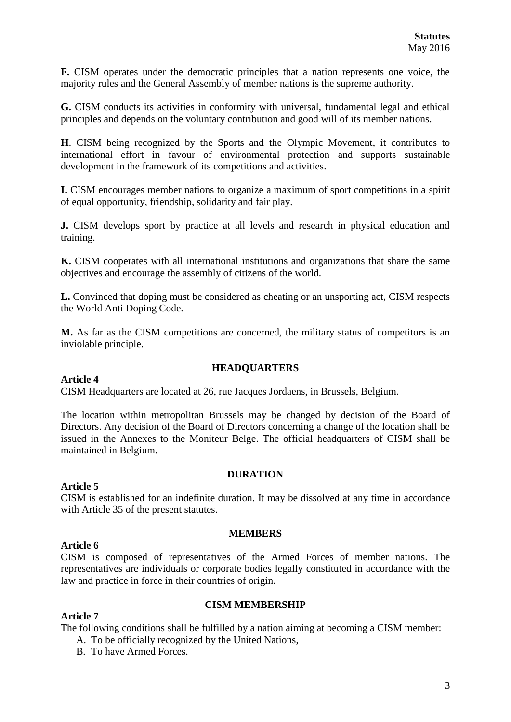**F.** CISM operates under the democratic principles that a nation represents one voice, the majority rules and the General Assembly of member nations is the supreme authority.

**G.** CISM conducts its activities in conformity with universal, fundamental legal and ethical principles and depends on the voluntary contribution and good will of its member nations.

**H**. CISM being recognized by the Sports and the Olympic Movement, it contributes to international effort in favour of environmental protection and supports sustainable development in the framework of its competitions and activities.

**I.** CISM encourages member nations to organize a maximum of sport competitions in a spirit of equal opportunity, friendship, solidarity and fair play.

**J.** CISM develops sport by practice at all levels and research in physical education and training.

**K.** CISM cooperates with all international institutions and organizations that share the same objectives and encourage the assembly of citizens of the world.

**L.** Convinced that doping must be considered as cheating or an unsporting act, CISM respects the World Anti Doping Code.

**M.** As far as the CISM competitions are concerned, the military status of competitors is an inviolable principle.

#### **HEADQUARTERS**

CISM Headquarters are located at 26, rue Jacques Jordaens, in Brussels, Belgium.

The location within metropolitan Brussels may be changed by decision of the Board of Directors. Any decision of the Board of Directors concerning a change of the location shall be issued in the Annexes to the Moniteur Belge. The official headquarters of CISM shall be maintained in Belgium.

#### **DURATION**

#### **Article 5**

**Article 4**

CISM is established for an indefinite duration. It may be dissolved at any time in accordance with Article 35 of the present statutes.

#### **MEMBERS**

#### **Article 6**

CISM is composed of representatives of the Armed Forces of member nations. The representatives are individuals or corporate bodies legally constituted in accordance with the law and practice in force in their countries of origin.

#### **Article 7**

## **CISM MEMBERSHIP**

The following conditions shall be fulfilled by a nation aiming at becoming a CISM member:

- A. To be officially recognized by the United Nations,
- B. To have Armed Forces.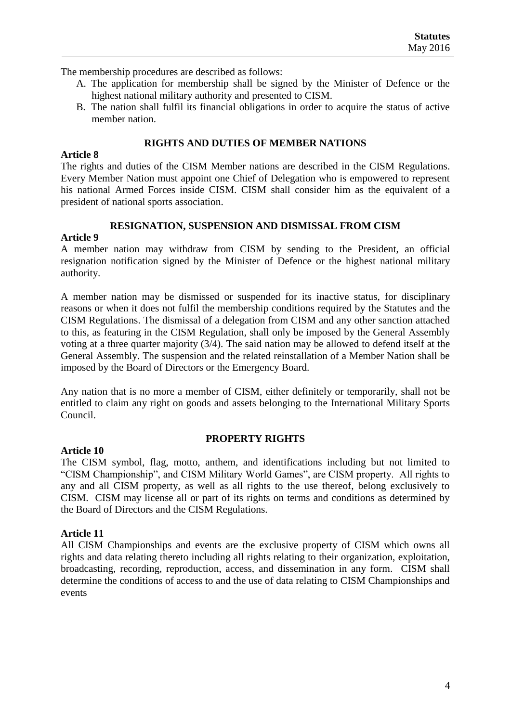The membership procedures are described as follows:

- A. The application for membership shall be signed by the Minister of Defence or the highest national military authority and presented to CISM.
- B. The nation shall fulfil its financial obligations in order to acquire the status of active member nation.

## **RIGHTS AND DUTIES OF MEMBER NATIONS**

#### **Article 8**

The rights and duties of the CISM Member nations are described in the CISM Regulations. Every Member Nation must appoint one Chief of Delegation who is empowered to represent his national Armed Forces inside CISM. CISM shall consider him as the equivalent of a president of national sports association.

#### **RESIGNATION, SUSPENSION AND DISMISSAL FROM CISM**

#### **Article 9**

A member nation may withdraw from CISM by sending to the President, an official resignation notification signed by the Minister of Defence or the highest national military authority.

A member nation may be dismissed or suspended for its inactive status, for disciplinary reasons or when it does not fulfil the membership conditions required by the Statutes and the CISM Regulations. The dismissal of a delegation from CISM and any other sanction attached to this, as featuring in the CISM Regulation, shall only be imposed by the General Assembly voting at a three quarter majority (3/4). The said nation may be allowed to defend itself at the General Assembly. The suspension and the related reinstallation of a Member Nation shall be imposed by the Board of Directors or the Emergency Board.

Any nation that is no more a member of CISM, either definitely or temporarily, shall not be entitled to claim any right on goods and assets belonging to the International Military Sports Council.

## **PROPERTY RIGHTS**

**Article 10** 

The CISM symbol, flag, motto, anthem, and identifications including but not limited to "CISM Championship", and CISM Military World Games", are CISM property. All rights to any and all CISM property, as well as all rights to the use thereof, belong exclusively to CISM. CISM may license all or part of its rights on terms and conditions as determined by the Board of Directors and the CISM Regulations.

## **Article 11**

All CISM Championships and events are the exclusive property of CISM which owns all rights and data relating thereto including all rights relating to their organization, exploitation, broadcasting, recording, reproduction, access, and dissemination in any form. CISM shall determine the conditions of access to and the use of data relating to CISM Championships and events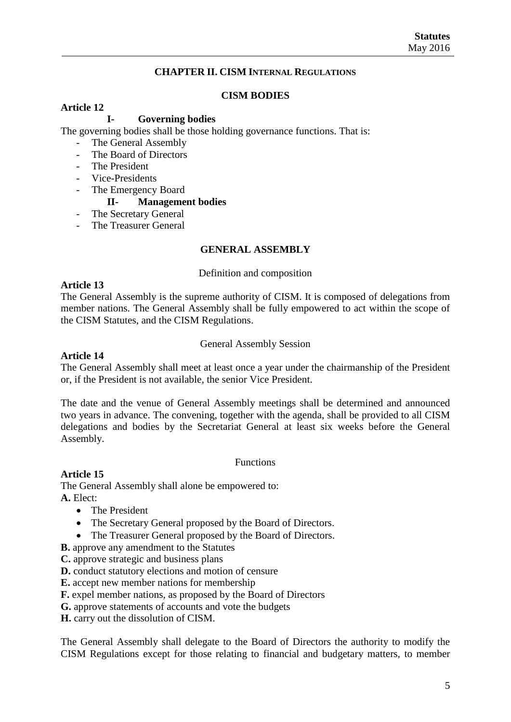## **CHAPTER II. CISM INTERNAL REGULATIONS**

## **CISM BODIES**

## **Article 12**

**I- Governing bodies**

The governing bodies shall be those holding governance functions. That is:

- The General Assembly
- The Board of Directors
- The President
- Vice-Presidents
- The Emergency Board

#### **II- Management bodies**

- The Secretary General
- The Treasurer General

## **GENERAL ASSEMBLY**

#### Definition and composition

#### **Article 13**

The General Assembly is the supreme authority of CISM. It is composed of delegations from member nations. The General Assembly shall be fully empowered to act within the scope of the CISM Statutes, and the CISM Regulations.

#### General Assembly Session

#### **Article 14**

The General Assembly shall meet at least once a year under the chairmanship of the President or, if the President is not available, the senior Vice President.

The date and the venue of General Assembly meetings shall be determined and announced two years in advance. The convening, together with the agenda, shall be provided to all CISM delegations and bodies by the Secretariat General at least six weeks before the General Assembly.

#### Functions

## **Article 15**

The General Assembly shall alone be empowered to: **A.** Elect:

- The President
- The Secretary General proposed by the Board of Directors.
- The Treasurer General proposed by the Board of Directors.
- **B.** approve any amendment to the Statutes
- **C.** approve strategic and business plans
- **D.** conduct statutory elections and motion of censure
- **E.** accept new member nations for membership
- **F.** expel member nations, as proposed by the Board of Directors
- **G.** approve statements of accounts and vote the budgets

**H.** carry out the dissolution of CISM.

The General Assembly shall delegate to the Board of Directors the authority to modify the CISM Regulations except for those relating to financial and budgetary matters, to member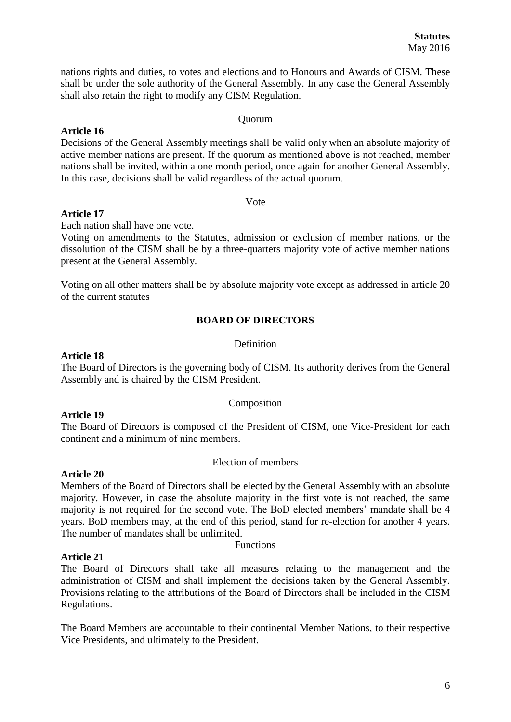**Statutes** May 2016

nations rights and duties, to votes and elections and to Honours and Awards of CISM. These shall be under the sole authority of the General Assembly. In any case the General Assembly shall also retain the right to modify any CISM Regulation.

Quorum

#### **Article 16**

Decisions of the General Assembly meetings shall be valid only when an absolute majority of active member nations are present. If the quorum as mentioned above is not reached, member nations shall be invited, within a one month period, once again for another General Assembly. In this case, decisions shall be valid regardless of the actual quorum.

Vote

## **Article 17**

Each nation shall have one vote.

Voting on amendments to the Statutes, admission or exclusion of member nations, or the dissolution of the CISM shall be by a three-quarters majority vote of active member nations present at the General Assembly.

Voting on all other matters shall be by absolute majority vote except as addressed in article 20 of the current statutes

## **BOARD OF DIRECTORS**

#### **Definition**

#### **Article 18**

**Article 19**

**Article 20**

The Board of Directors is the governing body of CISM. Its authority derives from the General Assembly and is chaired by the CISM President.

#### Composition

The Board of Directors is composed of the President of CISM, one Vice-President for each continent and a minimum of nine members.

## Election of members

## Members of the Board of Directors shall be elected by the General Assembly with an absolute majority. However, in case the absolute majority in the first vote is not reached, the same majority is not required for the second vote. The BoD elected members' mandate shall be 4 years. BoD members may, at the end of this period, stand for re-election for another 4 years. The number of mandates shall be unlimited.

#### Functions

#### **Article 21**

The Board of Directors shall take all measures relating to the management and the administration of CISM and shall implement the decisions taken by the General Assembly. Provisions relating to the attributions of the Board of Directors shall be included in the CISM Regulations.

The Board Members are accountable to their continental Member Nations, to their respective Vice Presidents, and ultimately to the President.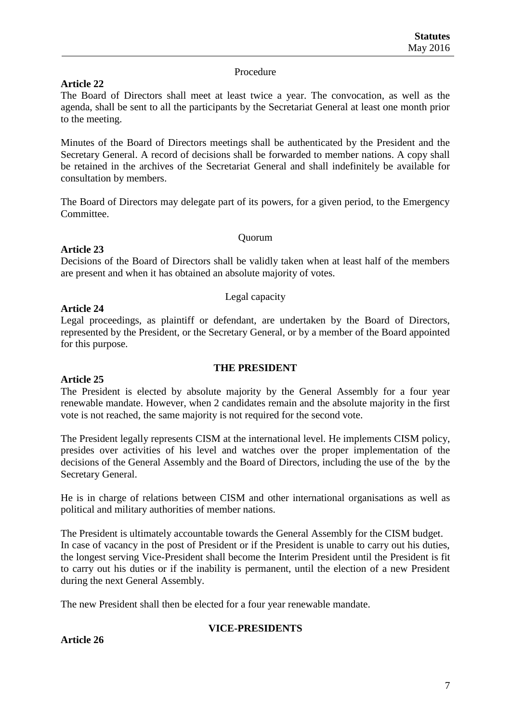#### Procedure

## **Article 22**

The Board of Directors shall meet at least twice a year. The convocation, as well as the agenda, shall be sent to all the participants by the Secretariat General at least one month prior to the meeting.

Minutes of the Board of Directors meetings shall be authenticated by the President and the Secretary General. A record of decisions shall be forwarded to member nations. A copy shall be retained in the archives of the Secretariat General and shall indefinitely be available for consultation by members.

The Board of Directors may delegate part of its powers, for a given period, to the Emergency Committee.

#### Quorum

## **Article 23**

Decisions of the Board of Directors shall be validly taken when at least half of the members are present and when it has obtained an absolute majority of votes.

## Legal capacity

## **Article 24**

Legal proceedings, as plaintiff or defendant, are undertaken by the Board of Directors, represented by the President, or the Secretary General, or by a member of the Board appointed for this purpose.

## **THE PRESIDENT**

## **Article 25**

The President is elected by absolute majority by the General Assembly for a four year renewable mandate. However, when 2 candidates remain and the absolute majority in the first vote is not reached, the same majority is not required for the second vote.

The President legally represents CISM at the international level. He implements CISM policy, presides over activities of his level and watches over the proper implementation of the decisions of the General Assembly and the Board of Directors, including the use of the by the Secretary General.

He is in charge of relations between CISM and other international organisations as well as political and military authorities of member nations.

The President is ultimately accountable towards the General Assembly for the CISM budget. In case of vacancy in the post of President or if the President is unable to carry out his duties, the longest serving Vice-President shall become the Interim President until the President is fit to carry out his duties or if the inability is permanent, until the election of a new President during the next General Assembly.

The new President shall then be elected for a four year renewable mandate.

## **VICE-PRESIDENTS**

**Article 26**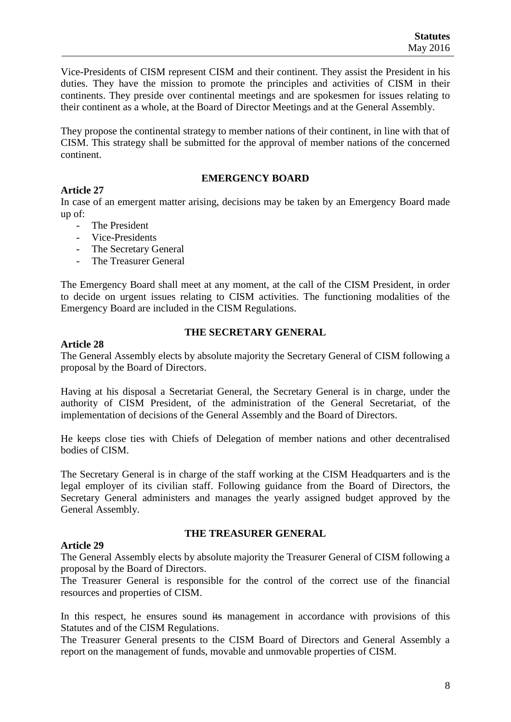Vice-Presidents of CISM represent CISM and their continent. They assist the President in his duties. They have the mission to promote the principles and activities of CISM in their continents. They preside over continental meetings and are spokesmen for issues relating to their continent as a whole, at the Board of Director Meetings and at the General Assembly.

They propose the continental strategy to member nations of their continent, in line with that of CISM. This strategy shall be submitted for the approval of member nations of the concerned continent.

#### **EMERGENCY BOARD**

## **Article 27**

In case of an emergent matter arising, decisions may be taken by an Emergency Board made up of:

- The President
- Vice-Presidents
- The Secretary General
- The Treasurer General

The Emergency Board shall meet at any moment, at the call of the CISM President, in order to decide on urgent issues relating to CISM activities. The functioning modalities of the Emergency Board are included in the CISM Regulations.

## **THE SECRETARY GENERAL**

#### **Article 28**

The General Assembly elects by absolute majority the Secretary General of CISM following a proposal by the Board of Directors.

Having at his disposal a Secretariat General, the Secretary General is in charge, under the authority of CISM President, of the administration of the General Secretariat, of the implementation of decisions of the General Assembly and the Board of Directors.

He keeps close ties with Chiefs of Delegation of member nations and other decentralised bodies of CISM.

The Secretary General is in charge of the staff working at the CISM Headquarters and is the legal employer of its civilian staff. Following guidance from the Board of Directors, the Secretary General administers and manages the yearly assigned budget approved by the General Assembly.

## **THE TREASURER GENERAL**

#### **Article 29**

The General Assembly elects by absolute majority the Treasurer General of CISM following a proposal by the Board of Directors.

The Treasurer General is responsible for the control of the correct use of the financial resources and properties of CISM.

In this respect, he ensures sound its management in accordance with provisions of this Statutes and of the CISM Regulations.

The Treasurer General presents to the CISM Board of Directors and General Assembly a report on the management of funds, movable and unmovable properties of CISM.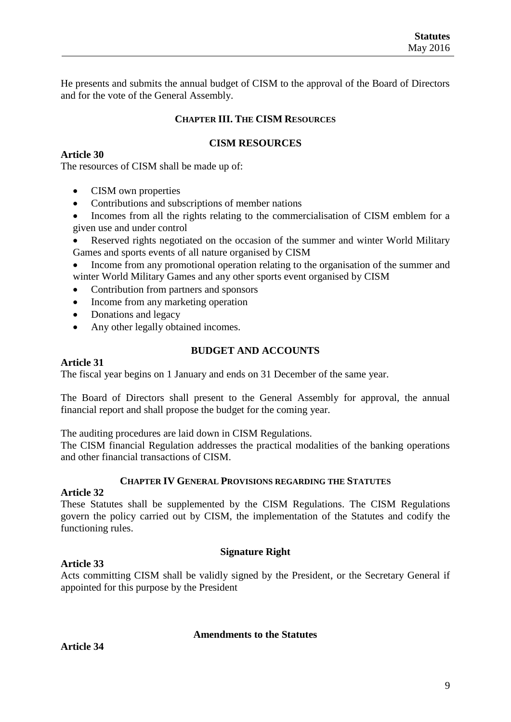He presents and submits the annual budget of CISM to the approval of the Board of Directors and for the vote of the General Assembly.

## **CHAPTER III. THE CISM RESOURCES**

## **CISM RESOURCES**

#### **Article 30**

The resources of CISM shall be made up of:

- CISM own properties
- Contributions and subscriptions of member nations
- Incomes from all the rights relating to the commercialisation of CISM emblem for a given use and under control
- Reserved rights negotiated on the occasion of the summer and winter World Military Games and sports events of all nature organised by CISM
- Income from any promotional operation relating to the organisation of the summer and winter World Military Games and any other sports event organised by CISM
- Contribution from partners and sponsors
- Income from any marketing operation
- Donations and legacy
- Any other legally obtained incomes.

## **BUDGET AND ACCOUNTS**

#### **Article 31**

The fiscal year begins on 1 January and ends on 31 December of the same year.

The Board of Directors shall present to the General Assembly for approval, the annual financial report and shall propose the budget for the coming year.

The auditing procedures are laid down in CISM Regulations.

The CISM financial Regulation addresses the practical modalities of the banking operations and other financial transactions of CISM.

#### **CHAPTER IV GENERAL PROVISIONS REGARDING THE STATUTES**

#### **Article 32**

These Statutes shall be supplemented by the CISM Regulations. The CISM Regulations govern the policy carried out by CISM, the implementation of the Statutes and codify the functioning rules.

#### **Article 33**

#### **Signature Right**

Acts committing CISM shall be validly signed by the President, or the Secretary General if appointed for this purpose by the President

#### **Amendments to the Statutes**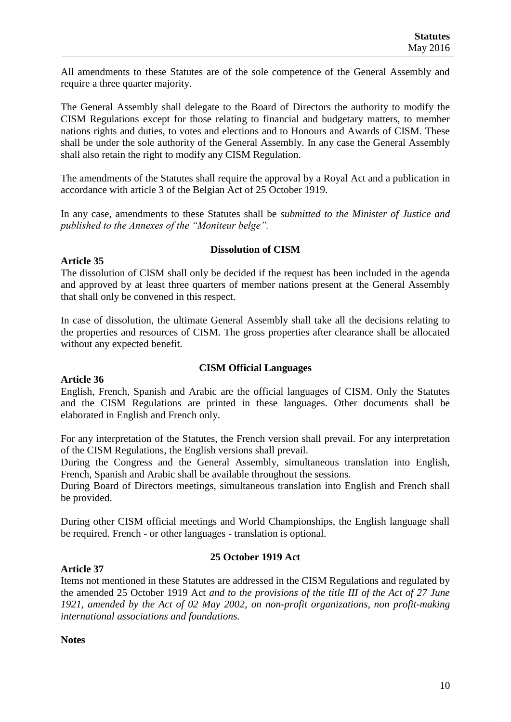All amendments to these Statutes are of the sole competence of the General Assembly and require a three quarter majority.

The General Assembly shall delegate to the Board of Directors the authority to modify the CISM Regulations except for those relating to financial and budgetary matters, to member nations rights and duties, to votes and elections and to Honours and Awards of CISM. These shall be under the sole authority of the General Assembly. In any case the General Assembly shall also retain the right to modify any CISM Regulation.

The amendments of the Statutes shall require the approval by a Royal Act and a publication in accordance with article 3 of the Belgian Act of 25 October 1919.

In any case, amendments to these Statutes shall be *submitted to the Minister of Justice and published to the Annexes of the "Moniteur belge".*

#### **Dissolution of CISM**

#### **Article 35**

The dissolution of CISM shall only be decided if the request has been included in the agenda and approved by at least three quarters of member nations present at the General Assembly that shall only be convened in this respect.

In case of dissolution, the ultimate General Assembly shall take all the decisions relating to the properties and resources of CISM. The gross properties after clearance shall be allocated without any expected benefit.

## **Article 36**

## **CISM Official Languages**

English, French, Spanish and Arabic are the official languages of CISM. Only the Statutes and the CISM Regulations are printed in these languages. Other documents shall be elaborated in English and French only.

For any interpretation of the Statutes, the French version shall prevail. For any interpretation of the CISM Regulations, the English versions shall prevail.

During the Congress and the General Assembly, simultaneous translation into English, French, Spanish and Arabic shall be available throughout the sessions.

During Board of Directors meetings, simultaneous translation into English and French shall be provided.

During other CISM official meetings and World Championships, the English language shall be required. French - or other languages - translation is optional.

## **Article 37**

## **25 October 1919 Act**

Items not mentioned in these Statutes are addressed in the CISM Regulations and regulated by the amended 25 October 1919 Act *and to the provisions of the title III of the Act of 27 June 1921, amended by the Act of 02 May 2002, on non-profit organizations, non profit-making international associations and foundations.*

#### **Notes**